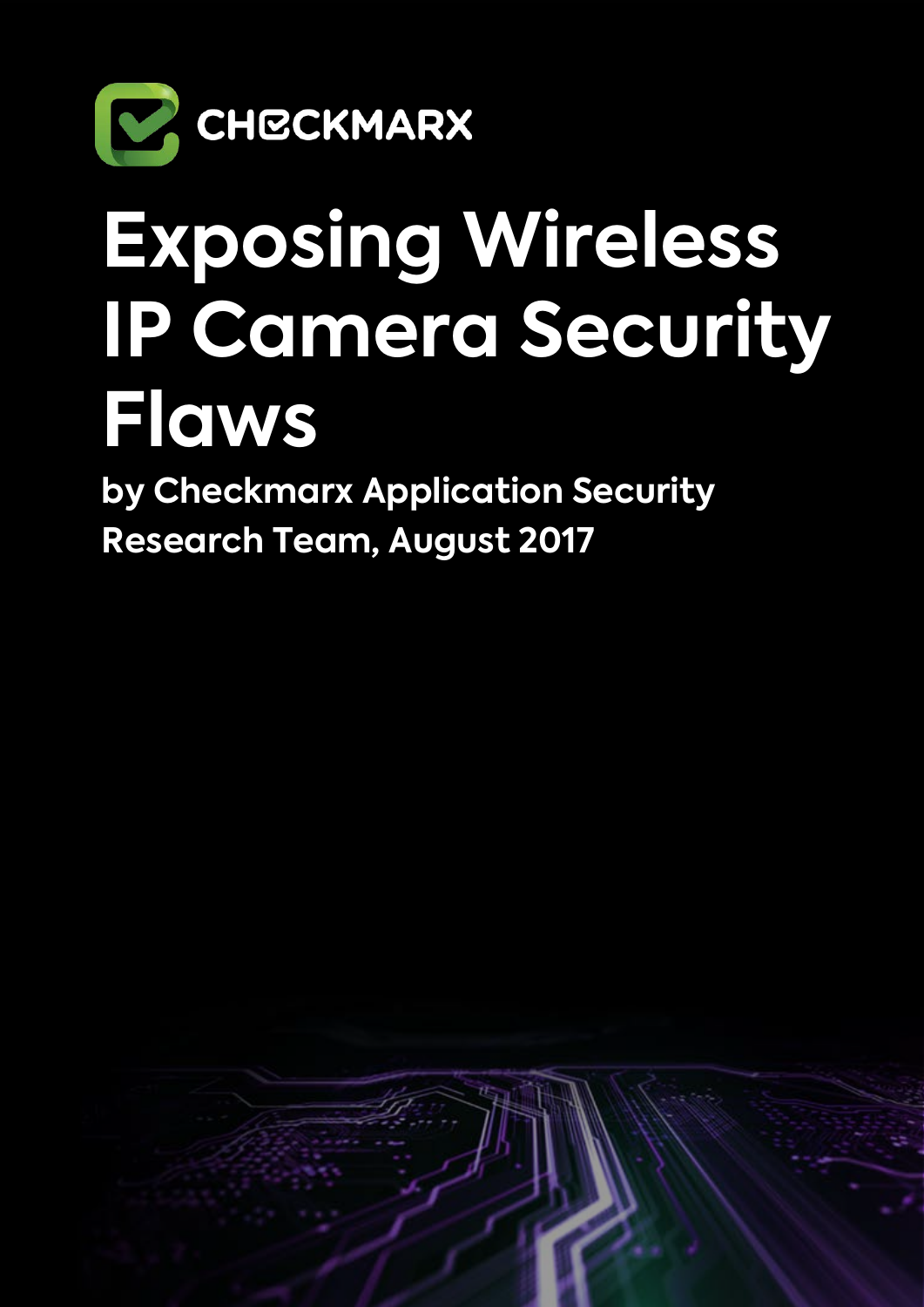

# **Exposing Wireless IP Camera Security Flaws**

**by Checkmarx Application Security Research Team, August 2017**

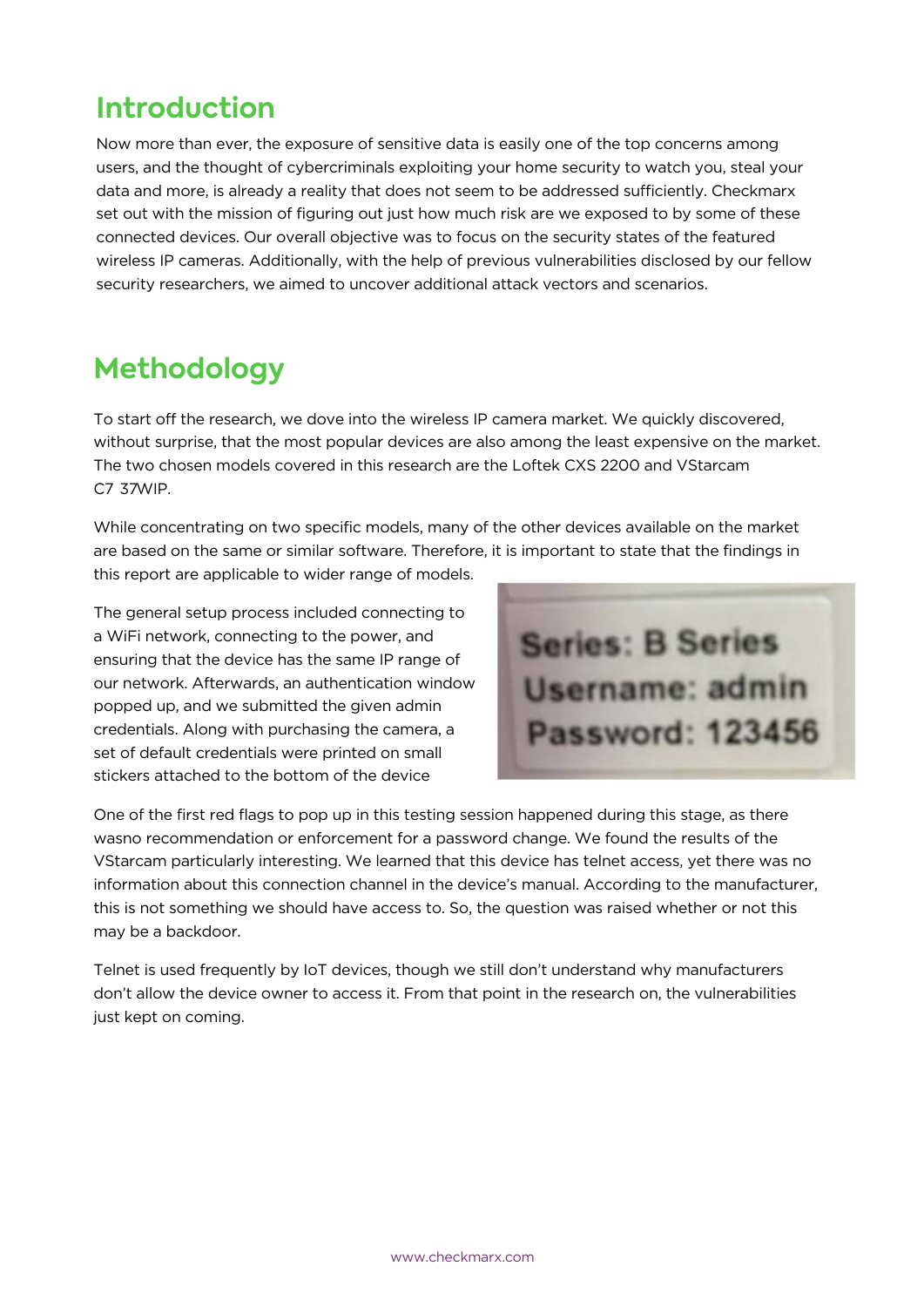# **Introduction**

Now more than ever, the exposure of sensitive data is easily one of the top concerns among users, and the thought of cybercriminals exploiting your home security to watch you, steal your data and more, is already a reality that does not seem to be addressed sufficiently. Checkmarx set out with the mission of figuring out just how much risk are we exposed to by some of these connected devices. Our overall objective was to focus on the security states of the featured wireless IP cameras. Additionally, with the help of previous vulnerabilities disclosed by our fellow security researchers, we aimed to uncover additional attack vectors and scenarios.

# **Methodology**

To start off the research, we dove into the wireless IP camera market. We quickly discovered, without surprise, that the most popular devices are also among the least expensive on the market. The two chosen models covered in this research are the Loftek CXS 2200 and VStarcam C7 37WIP.

While concentrating on two specific models, many of the other devices available on the market are based on the same or similar software. Therefore, it is important to state that the findings in

this report are applicable to wider range of models.

The general setup process included connecting to a WiFi network, connecting to the power, and ensuring that the device has the same IP range of our network. Afterwards, an authentication window popped up, and we submitted the given admin credentials. Along with purchasing the camera, a set of default credentials were printed on small stickers attached to the bottom of the device



One of the first red flags to pop up in this testing session happened during this stage, as there wasno recommendation or enforcement for a password change. We found the results of the VStarcam particularly interesting. We learned that this device has telnet access, yet there was no information about this connection channel in the device's manual. According to the manufacturer, this is not something we should have access to. So, the question was raised whether or not this may be a backdoor.

Telnet is used frequently by IoT devices, though we still don't understand why manufacturers don't allow the device owner to access it. From that point in the research on, the vulnerabilities just kept on coming.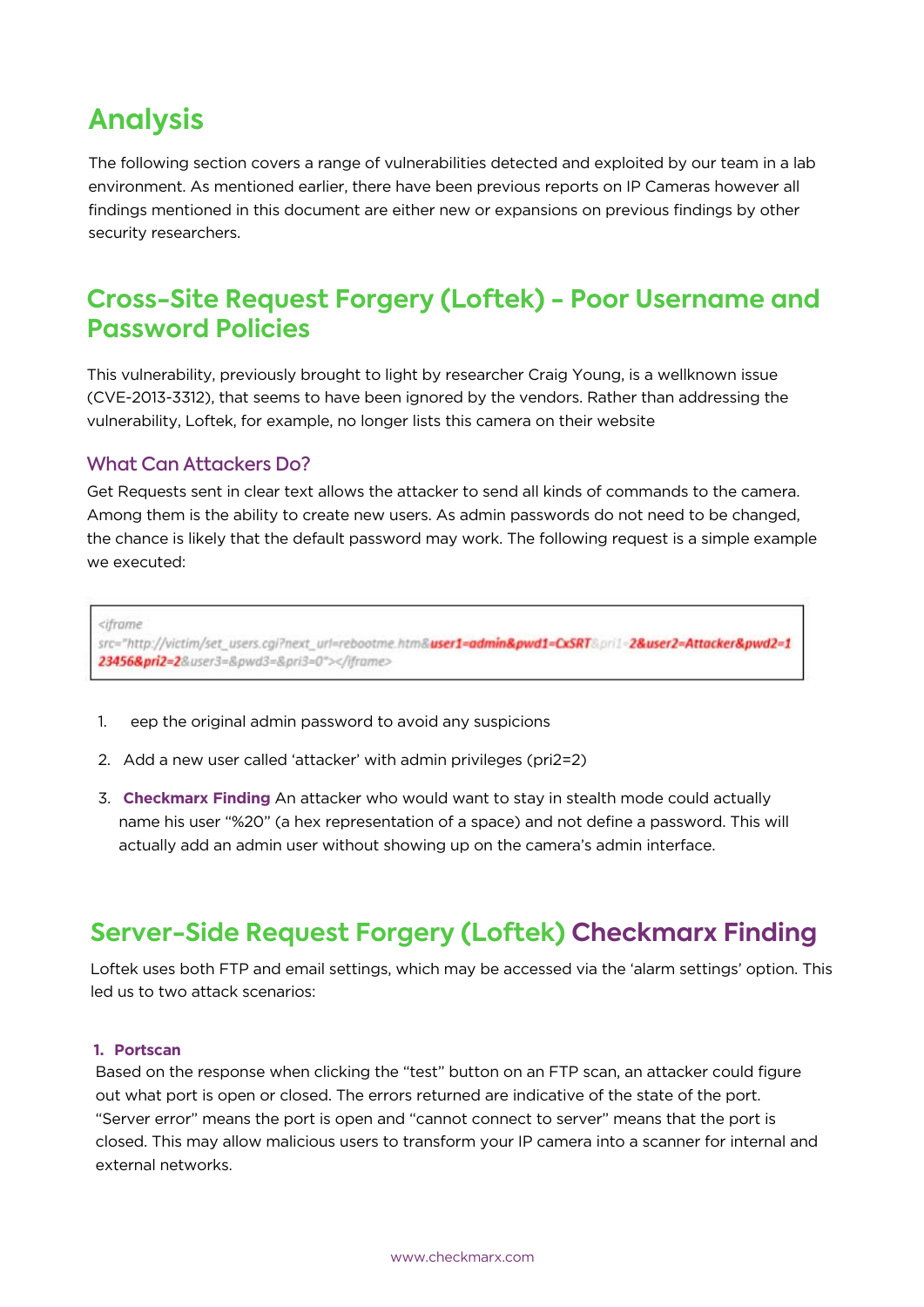## **Analysis**

The following section covers a range of vulnerabilities detected and exploited by our team in a lab environment. As mentioned earlier, there have been previous reports on IP Cameras however all findings mentioned in this document are either new or expansions on previous findings by other security researchers.

## **Cross-Site Request Forgery (Loftek) - Poor Username and Password Policies**

This vulnerability, previously brought to light by researcher Craig Young, is a wellknown issue (CVE-2013-3312), that seems to have been ignored by the vendors. Rather than addressing the vulnerability, Loftek, for example, no longer lists this camera on their website

#### What Can Attackers Do?

Get Requests sent in clear text allows the attacker to send all kinds of commands to the camera. Among them is the ability to create new users. As admin passwords do not need to be changed, the chance is likely that the default password may work. The following request is a simple example we executed:

<iframe

src="http://victim/set\_users.cgi?next\_url=rebootme.htm&**user1=admin&pwd1=CxSRT**&pri1=2&user2=Attacker&pwd2=1 23456&pri2=2&user3=&pwd3=&pri3=0"></iframe>

- 1. eep the original admin password to avoid any suspicions
- 2. Add a new user called 'attacker' with admin privileges (pri2=2)
- 3. **Checkmarx Finding** An attacker who would want to stay in stealth mode could actually name his user "%20" (a hex representation of a space) and not define a password. This will actually add an admin user without showing up on the camera's admin interface.

## **Server-Side Request Forgery (Loftek) Checkmarx Finding**

Loftek uses both FTP and email settings, which may be accessed via the 'alarm settings' option. This led us to two attack scenarios:

#### **1. Portscan**

Based on the response when clicking the "test" button on an FTP scan, an attacker could figure out what port is open or closed. The errors returned are indicative of the state of the port. "Server error" means the port is open and "cannot connect to server" means that the port is closed. This may allow malicious users to transform your IP camera into a scanner for internal and external networks.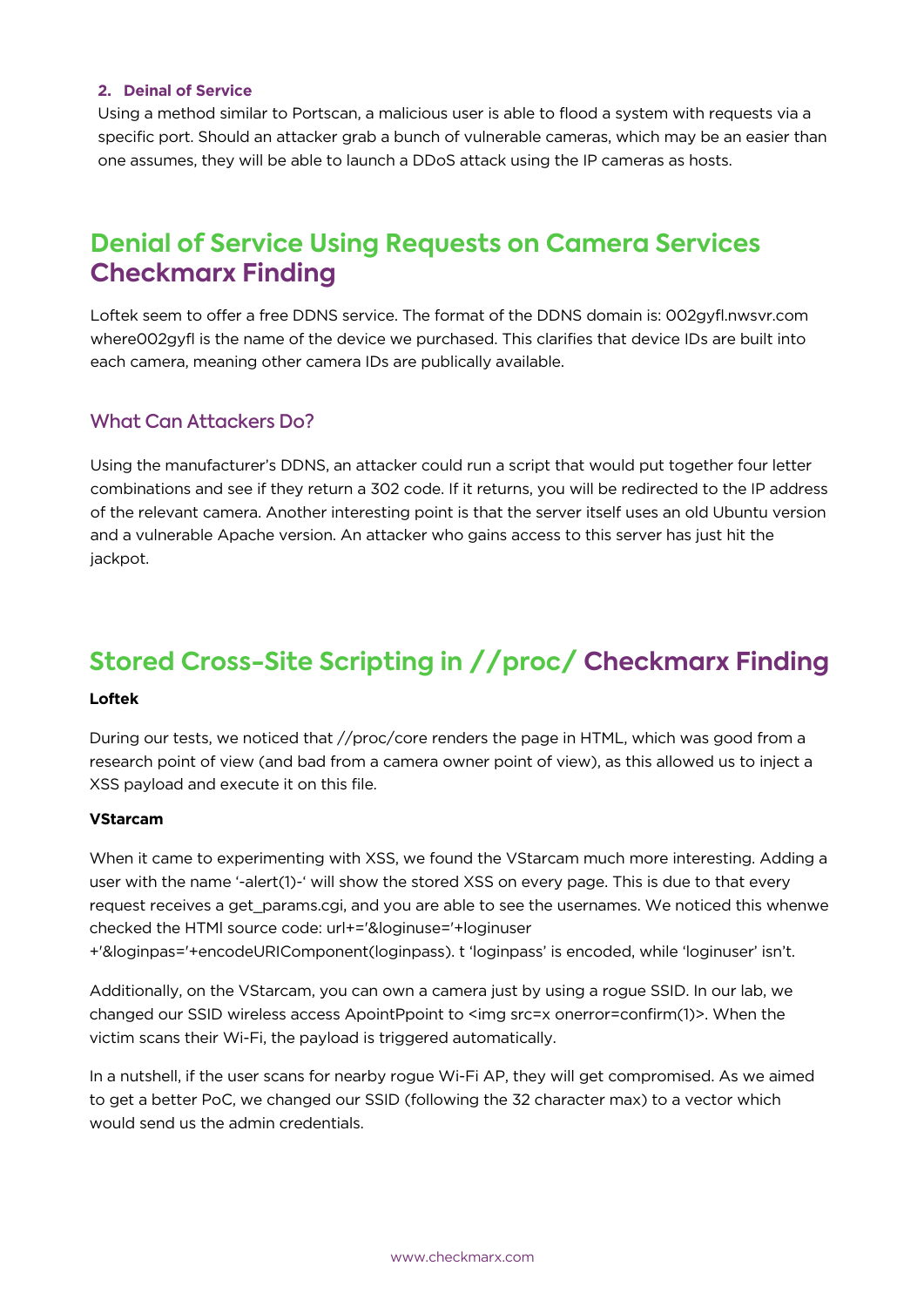#### **2. Deinal of Service**

Using a method similar to Portscan, a malicious user is able to flood a system with requests via a specific port. Should an attacker grab a bunch of vulnerable cameras, which may be an easier than one assumes, they will be able to launch a DDoS attack using the IP cameras as hosts.

### **Denial of Service Using Requests on Camera Services Checkmarx Finding**

Loftek seem to offer a free DDNS service. The format of the DDNS domain is: 002gyfl.nwsvr.com where002gyfl is the name of the device we purchased. This clarifies that device IDs are built into each camera, meaning other camera IDs are publically available.

#### What Can Attackers Do?

Using the manufacturer's DDNS, an attacker could run a script that would put together four letter combinations and see if they return a 302 code. If it returns, you will be redirected to the IP address of the relevant camera. Another interesting point is that the server itself uses an old Ubuntu version and a vulnerable Apache version. An attacker who gains access to this server has just hit the jackpot.

## **Stored Cross-Site Scripting in //proc/ Checkmarx Finding**

#### **Loftek**

During our tests, we noticed that //proc/core renders the page in HTML, which was good from a research point of view (and bad from a camera owner point of view), as this allowed us to inject a XSS payload and execute it on this file.

#### **VStarcam**

When it came to experimenting with XSS, we found the VStarcam much more interesting. Adding a user with the name '-alert(1)-' will show the stored XSS on every page. This is due to that every request receives a get\_params.cgi, and you are able to see the usernames. We noticed this whenwe checked the HTMl source code: url+='&loginuse='+loginuser +'&loginpas='+encodeURIComponent(loginpass). t 'loginpass' is encoded, while 'loginuser' isn't.

Additionally, on the VStarcam, you can own a camera just by using a rogue SSID. In our lab, we changed our SSID wireless access ApointPpoint to <img src=x onerror=confirm(1)>. When the victim scans their Wi-Fi, the payload is triggered automatically.

In a nutshell, if the user scans for nearby rogue Wi-Fi AP, they will get compromised. As we aimed to get a better PoC, we changed our SSID (following the 32 character max) to a vector which would send us the admin credentials.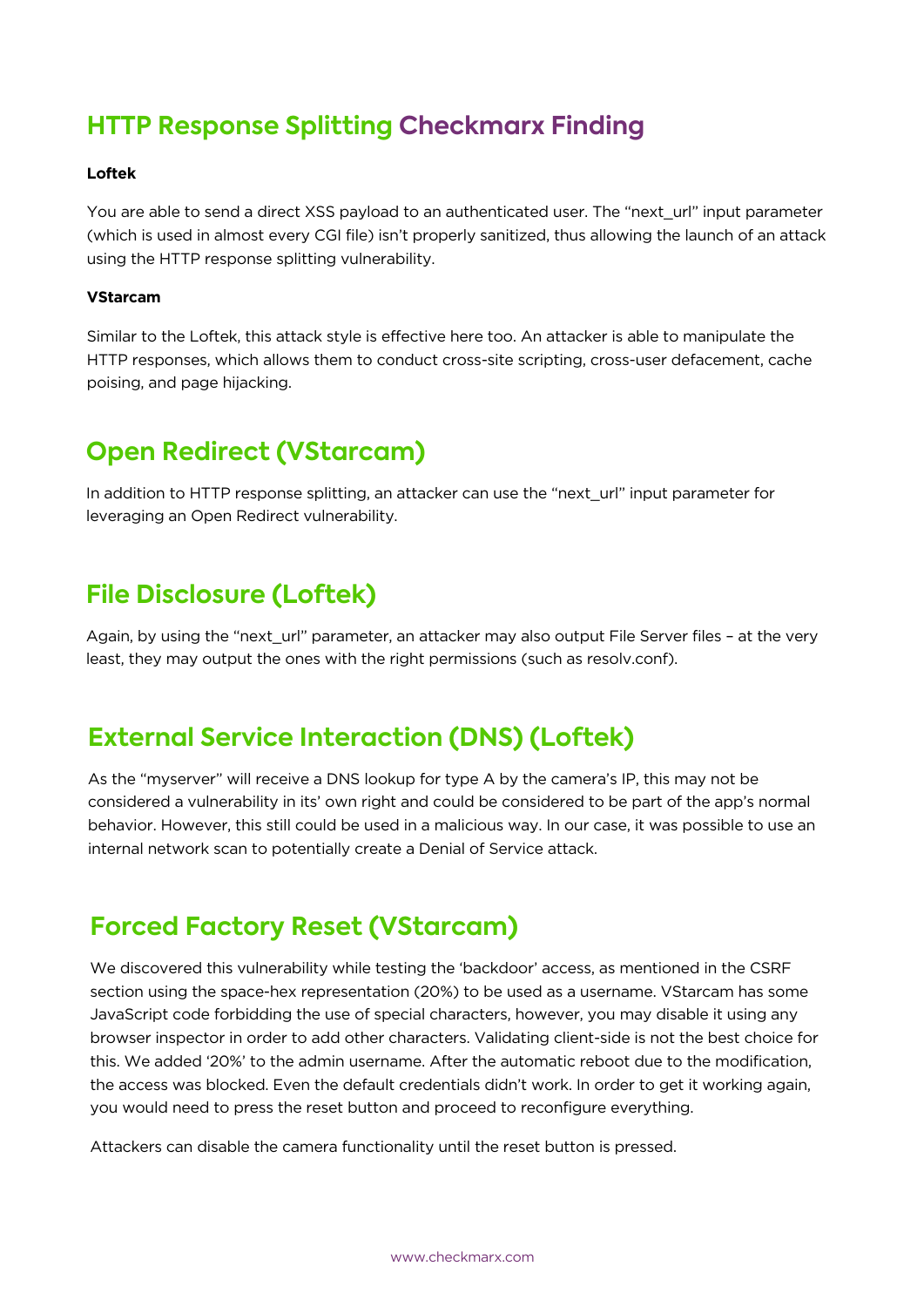## **HTTP Response Splitting Checkmarx Finding**

#### **Loftek**

You are able to send a direct XSS payload to an authenticated user. The "next\_url" input parameter (which is used in almost every CGI file) isn't properly sanitized, thus allowing the launch of an attack using the HTTP response splitting vulnerability.

#### **VStarcam**

Similar to the Loftek, this attack style is effective here too. An attacker is able to manipulate the HTTP responses, which allows them to conduct cross-site scripting, cross-user defacement, cache poising, and page hijacking.

## **Open Redirect (VStarcam)**

In addition to HTTP response splitting, an attacker can use the "next url" input parameter for leveraging an Open Redirect vulnerability.

## **File Disclosure (Loftek)**

Again, by using the "next\_url" parameter, an attacker may also output File Server files – at the very least, they may output the ones with the right permissions (such as resolv.conf).

## **External Service Interaction (DNS) (Loftek)**

As the "myserver" will receive a DNS lookup for type A by the camera's IP, this may not be considered a vulnerability in its' own right and could be considered to be part of the app's normal behavior. However, this still could be used in a malicious way. In our case, it was possible to use an internal network scan to potentially create a Denial of Service attack.

## **Forced Factory Reset (VStarcam)**

We discovered this vulnerability while testing the 'backdoor' access, as mentioned in the CSRF section using the space-hex representation (20%) to be used as a username. VStarcam has some JavaScript code forbidding the use of special characters, however, you may disable it using any browser inspector in order to add other characters. Validating client-side is not the best choice for this. We added '20%' to the admin username. After the automatic reboot due to the modification, the access was blocked. Even the default credentials didn't work. In order to get it working again, you would need to press the reset button and proceed to reconfigure everything.

Attackers can disable the camera functionality until the reset button is pressed.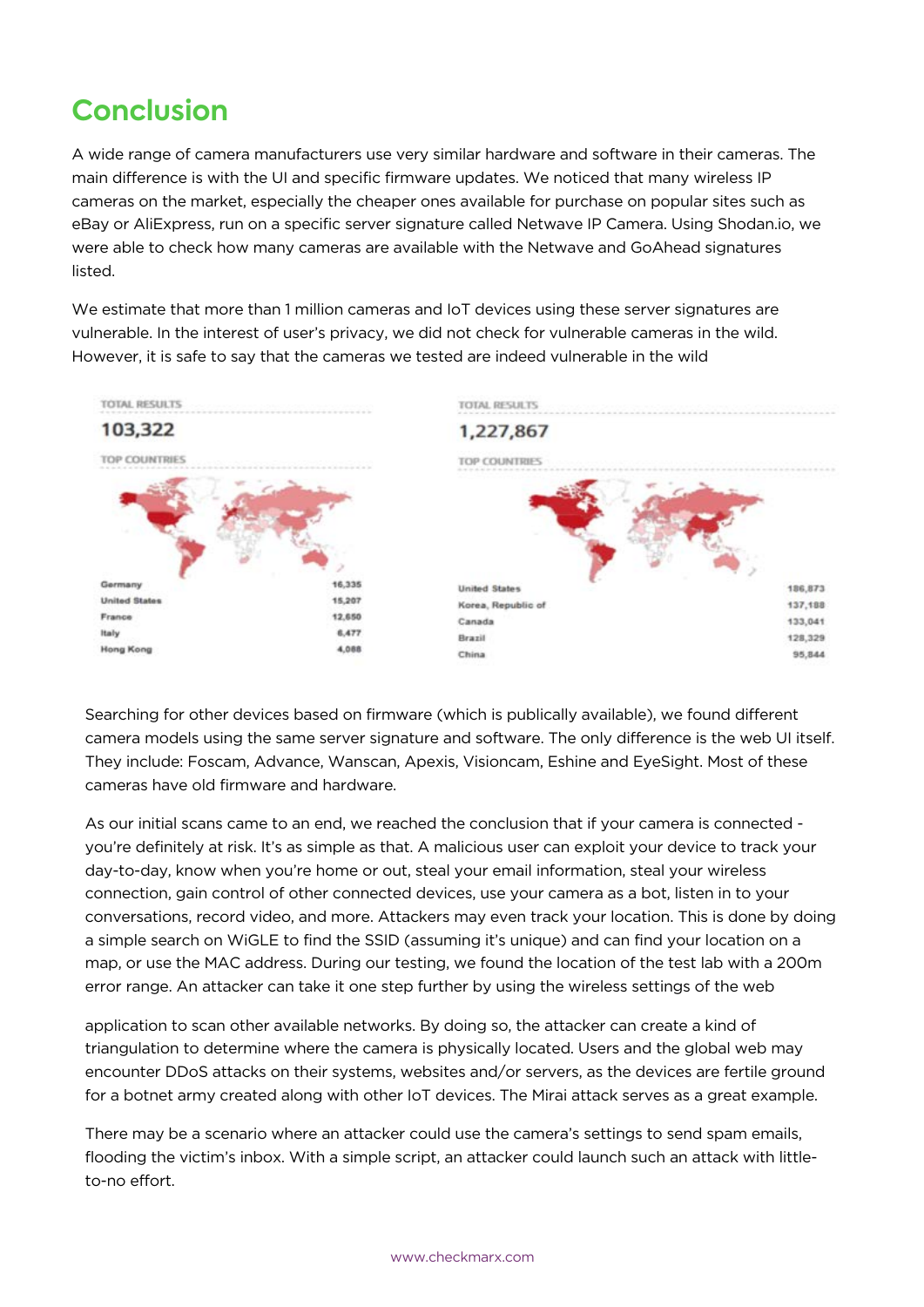# **Conclusion**

A wide range of camera manufacturers use very similar hardware and software in their cameras. The main difference is with the UI and specific firmware updates. We noticed that many wireless IP cameras on the market, especially the cheaper ones available for purchase on popular sites such as eBay or AliExpress, run on a specific server signature called Netwave IP Camera. Using Shodan.io, we were able to check how many cameras are available with the Netwave and GoAhead signatures listed.

We estimate that more than 1 million cameras and IoT devices using these server signatures are vulnerable. In the interest of user's privacy, we did not check for vulnerable cameras in the wild. However, it is safe to say that the cameras we tested are indeed vulnerable in the wild



Searching for other devices based on firmware (which is publically available), we found different camera models using the same server signature and software. The only difference is the web UI itself. They include: Foscam, Advance, Wanscan, Apexis, Visioncam, Eshine and EyeSight. Most of these cameras have old firmware and hardware.

As our initial scans came to an end, we reached the conclusion that if your camera is connected you're definitely at risk. It's as simple as that. A malicious user can exploit your device to track your day-to-day, know when you're home or out, steal your email information, steal your wireless connection, gain control of other connected devices, use your camera as a bot, listen in to your conversations, record video, and more. Attackers may even track your location. This is done by doing a simple search on WiGLE to find the SSID (assuming it's unique) and can find your location on a map, or use the MAC address. During our testing, we found the location of the test lab with a 200m error range. An attacker can take it one step further by using the wireless settings of the web

application to scan other available networks. By doing so, the attacker can create a kind of triangulation to determine where the camera is physically located. Users and the global web may encounter DDoS attacks on their systems, websites and/or servers, as the devices are fertile ground for a botnet army created along with other IoT devices. The Mirai attack serves as a great example.

There may be a scenario where an attacker could use the camera's settings to send spam emails, flooding the victim's inbox. With a simple script, an attacker could launch such an attack with littleto-no effort.